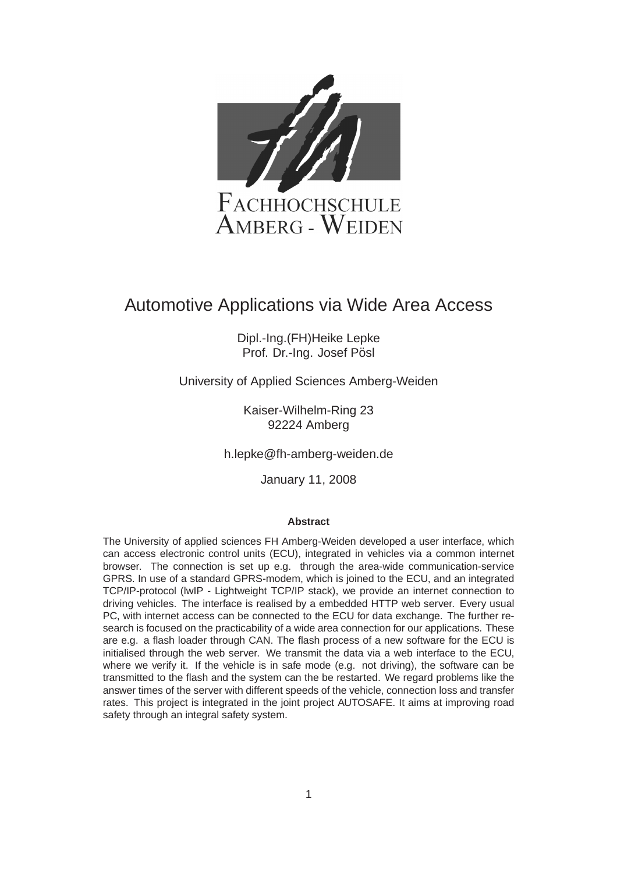

# Automotive Applications via Wide Area Access

Dipl.-Ing.(FH)Heike Lepke Prof. Dr.-Ing. Josef Pösl

University of Applied Sciences Amberg-Weiden

Kaiser-Wilhelm-Ring 23 92224 Amberg

h.lepke@fh-amberg-weiden.de

January 11, 2008

#### **Abstract**

The University of applied sciences FH Amberg-Weiden developed a user interface, which can access electronic control units (ECU), integrated in vehicles via a common internet browser. The connection is set up e.g. through the area-wide communication-service GPRS. In use of a standard GPRS-modem, which is joined to the ECU, and an integrated TCP/IP-protocol (lwIP - Lightweight TCP/IP stack), we provide an internet connection to driving vehicles. The interface is realised by a embedded HTTP web server. Every usual PC, with internet access can be connected to the ECU for data exchange. The further research is focused on the practicability of a wide area connection for our applications. These are e.g. a flash loader through CAN. The flash process of a new software for the ECU is initialised through the web server. We transmit the data via a web interface to the ECU, where we verify it. If the vehicle is in safe mode (e.g. not driving), the software can be transmitted to the flash and the system can the be restarted. We regard problems like the answer times of the server with different speeds of the vehicle, connection loss and transfer rates. This project is integrated in the joint project AUTOSAFE. It aims at improving road safety through an integral safety system.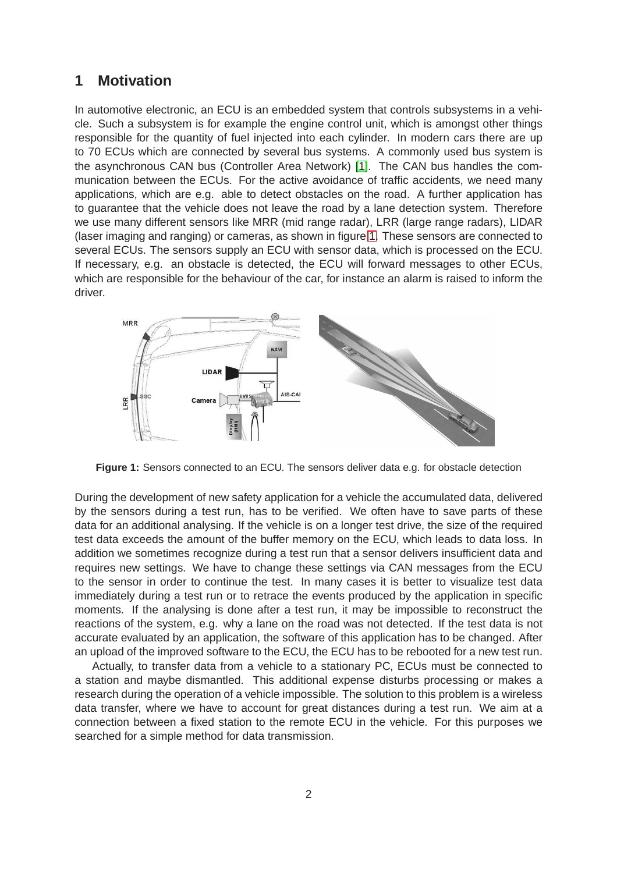## **1 Motivation**

In automotive electronic, an ECU is an embedded system that controls subsystems in a vehicle. Such a subsystem is for example the engine control unit, which is amongst other things responsible for the quantity of fuel injected into each cylinder. In modern cars there are up to 70 ECUs which are connected by several bus systems. A commonly used bus system is the asynchronous CAN bus (Controller Area Network) [\[1\]](#page-9-0). The CAN bus handles the communication between the ECUs. For the active avoidance of traffic accidents, we need many applications, which are e.g. able to detect obstacles on the road. A further application has to guarantee that the vehicle does not leave the road by a lane detection system. Therefore we use many different sensors like MRR (mid range radar), LRR (large range radars), LIDAR (laser imaging and ranging) or cameras, as shown in figure [1.](#page-1-0) These sensors are connected to several ECUs. The sensors supply an ECU with sensor data, which is processed on the ECU. If necessary, e.g. an obstacle is detected, the ECU will forward messages to other ECUs, which are responsible for the behaviour of the car, for instance an alarm is raised to inform the driver.

<span id="page-1-0"></span>

**Figure 1:** Sensors connected to an ECU. The sensors deliver data e.g. for obstacle detection

During the development of new safety application for a vehicle the accumulated data, delivered by the sensors during a test run, has to be verified. We often have to save parts of these data for an additional analysing. If the vehicle is on a longer test drive, the size of the required test data exceeds the amount of the buffer memory on the ECU, which leads to data loss. In addition we sometimes recognize during a test run that a sensor delivers insufficient data and requires new settings. We have to change these settings via CAN messages from the ECU to the sensor in order to continue the test. In many cases it is better to visualize test data immediately during a test run or to retrace the events produced by the application in specific moments. If the analysing is done after a test run, it may be impossible to reconstruct the reactions of the system, e.g. why a lane on the road was not detected. If the test data is not accurate evaluated by an application, the software of this application has to be changed. After an upload of the improved software to the ECU, the ECU has to be rebooted for a new test run.

Actually, to transfer data from a vehicle to a stationary PC, ECUs must be connected to a station and maybe dismantled. This additional expense disturbs processing or makes a research during the operation of a vehicle impossible. The solution to this problem is a wireless data transfer, where we have to account for great distances during a test run. We aim at a connection between a fixed station to the remote ECU in the vehicle. For this purposes we searched for a simple method for data transmission.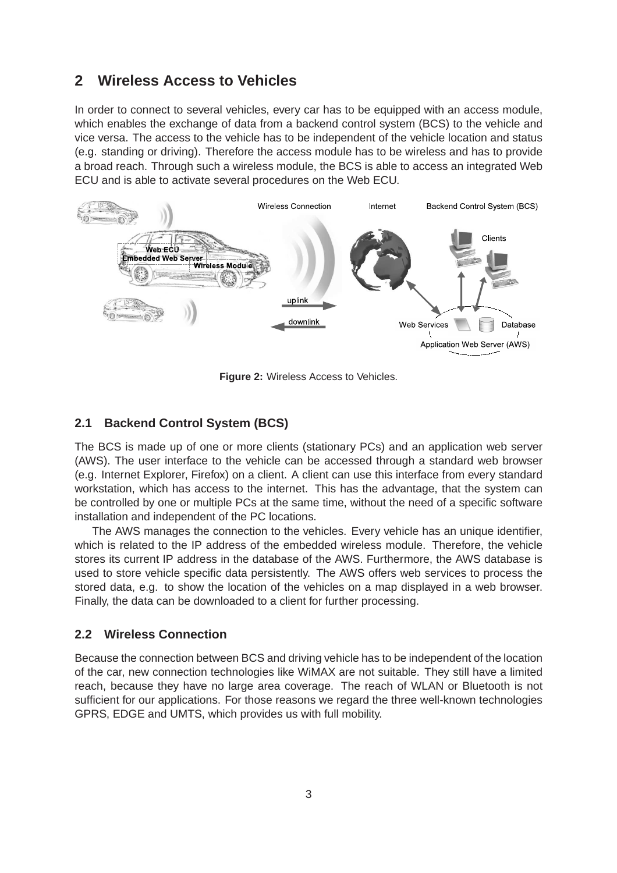## **2 Wireless Access to Vehicles**

In order to connect to several vehicles, every car has to be equipped with an access module, which enables the exchange of data from a backend control system (BCS) to the vehicle and vice versa. The access to the vehicle has to be independent of the vehicle location and status (e.g. standing or driving). Therefore the access module has to be wireless and has to provide a broad reach. Through such a wireless module, the BCS is able to access an integrated Web ECU and is able to activate several procedures on the Web ECU.

<span id="page-2-0"></span>

**Figure 2:** Wireless Access to Vehicles.

### **2.1 Backend Control System (BCS)**

The BCS is made up of one or more clients (stationary PCs) and an application web server (AWS). The user interface to the vehicle can be accessed through a standard web browser (e.g. Internet Explorer, Firefox) on a client. A client can use this interface from every standard workstation, which has access to the internet. This has the advantage, that the system can be controlled by one or multiple PCs at the same time, without the need of a specific software installation and independent of the PC locations.

The AWS manages the connection to the vehicles. Every vehicle has an unique identifier, which is related to the IP address of the embedded wireless module. Therefore, the vehicle stores its current IP address in the database of the AWS. Furthermore, the AWS database is used to store vehicle specific data persistently. The AWS offers web services to process the stored data, e.g. to show the location of the vehicles on a map displayed in a web browser. Finally, the data can be downloaded to a client for further processing.

### **2.2 Wireless Connection**

Because the connection between BCS and driving vehicle has to be independent of the location of the car, new connection technologies like WiMAX are not suitable. They still have a limited reach, because they have no large area coverage. The reach of WLAN or Bluetooth is not sufficient for our applications. For those reasons we regard the three well-known technologies GPRS, EDGE and UMTS, which provides us with full mobility.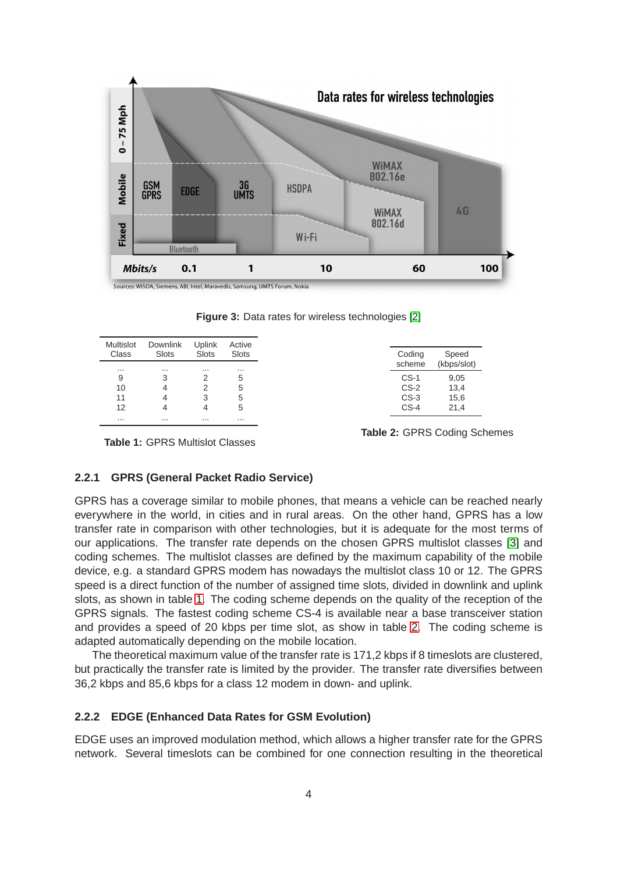

<span id="page-3-0"></span>Multislot Downlink Uplink Active Class Slots Slots Slots ... ... ... ... 9 3 2 5 10 4 2 5 11 4 3 5 12 4 4 5 ... ... ... ... Coding Speed scheme (kbps/slot) CS-1 9,05 CS-2 13,4 CS-3 15,6 CS-4 21,4

**Figure 3:** Data rates for wireless technologies [\[2\]](#page-9-1)

**Table 1:** GPRS Multislot Classes

**Table 2:** GPRS Coding Schemes

#### **2.2.1 GPRS (General Packet Radio Service)**

GPRS has a coverage similar to mobile phones, that means a vehicle can be reached nearly everywhere in the world, in cities and in rural areas. On the other hand, GPRS has a low transfer rate in comparison with other technologies, but it is adequate for the most terms of our applications. The transfer rate depends on the chosen GPRS multislot classes [\[3\]](#page-9-2) and coding schemes. The multislot classes are defined by the maximum capability of the mobile device, e.g. a standard GPRS modem has nowadays the multislot class 10 or 12. The GPRS speed is a direct function of the number of assigned time slots, divided in downlink and uplink slots, as shown in table [1.](#page-3-0) The coding scheme depends on the quality of the reception of the GPRS signals. The fastest coding scheme CS-4 is available near a base transceiver station and provides a speed of 20 kbps per time slot, as show in table [2.](#page-3-0) The coding scheme is adapted automatically depending on the mobile location.

The theoretical maximum value of the transfer rate is 171,2 kbps if 8 timeslots are clustered, but practically the transfer rate is limited by the provider. The transfer rate diversifies between 36,2 kbps and 85,6 kbps for a class 12 modem in down- and uplink.

#### **2.2.2 EDGE (Enhanced Data Rates for GSM Evolution)**

EDGE uses an improved modulation method, which allows a higher transfer rate for the GPRS network. Several timeslots can be combined for one connection resulting in the theoretical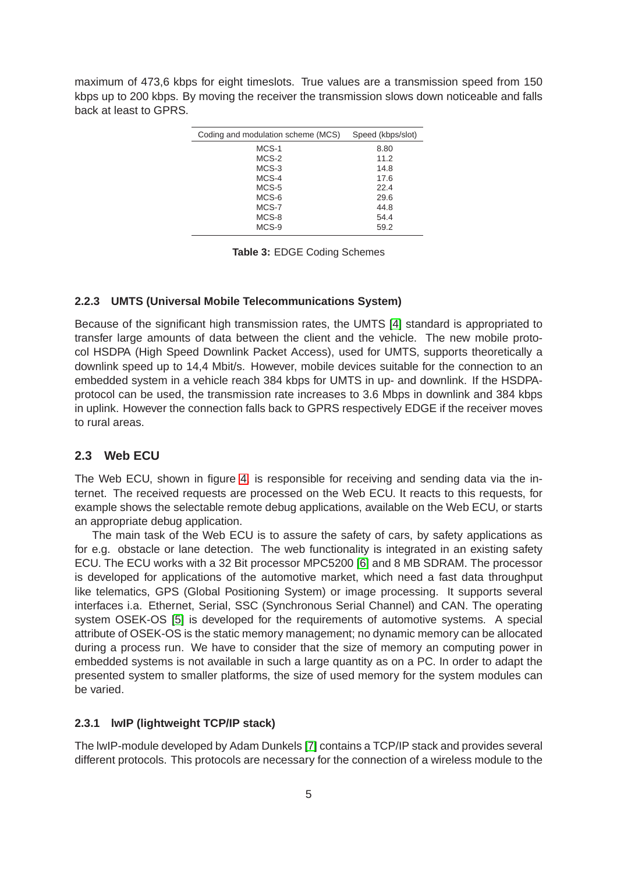maximum of 473,6 kbps for eight timeslots. True values are a transmission speed from 150 kbps up to 200 kbps. By moving the receiver the transmission slows down noticeable and falls back at least to GPRS.

| Coding and modulation scheme (MCS) | Speed (kbps/slot) |
|------------------------------------|-------------------|
| MCS-1                              | 8.80              |
| MCS-2                              | 11.2              |
| $MCS-3$                            | 14.8              |
| $MCS-4$                            | 17.6              |
| $MCS-5$                            | 22.4              |
| MCS-6                              | 29.6              |
| MCS-7                              | 44.8              |
| MCS-8                              | 54.4              |
| $MCS-9$                            | 59.2              |

**Table 3:** EDGE Coding Schemes

#### **2.2.3 UMTS (Universal Mobile Telecommunications System)**

Because of the significant high transmission rates, the UMTS [\[4\]](#page-9-3) standard is appropriated to transfer large amounts of data between the client and the vehicle. The new mobile protocol HSDPA (High Speed Downlink Packet Access), used for UMTS, supports theoretically a downlink speed up to 14,4 Mbit/s. However, mobile devices suitable for the connection to an embedded system in a vehicle reach 384 kbps for UMTS in up- and downlink. If the HSDPAprotocol can be used, the transmission rate increases to 3.6 Mbps in downlink and 384 kbps in uplink. However the connection falls back to GPRS respectively EDGE if the receiver moves to rural areas.

#### <span id="page-4-0"></span>**2.3 Web ECU**

The Web ECU, shown in figure [4,](#page-5-0) is responsible for receiving and sending data via the internet. The received requests are processed on the Web ECU. It reacts to this requests, for example shows the selectable remote debug applications, available on the Web ECU, or starts an appropriate debug application.

The main task of the Web ECU is to assure the safety of cars, by safety applications as for e.g. obstacle or lane detection. The web functionality is integrated in an existing safety ECU. The ECU works with a 32 Bit processor MPC5200 [\[6\]](#page-9-4) and 8 MB SDRAM. The processor is developed for applications of the automotive market, which need a fast data throughput like telematics, GPS (Global Positioning System) or image processing. It supports several interfaces i.a. Ethernet, Serial, SSC (Synchronous Serial Channel) and CAN. The operating system OSEK-OS [\[5\]](#page-9-5) is developed for the requirements of automotive systems. A special attribute of OSEK-OS is the static memory management; no dynamic memory can be allocated during a process run. We have to consider that the size of memory an computing power in embedded systems is not available in such a large quantity as on a PC. In order to adapt the presented system to smaller platforms, the size of used memory for the system modules can be varied.

#### **2.3.1 lwIP (lightweight TCP/IP stack)**

The lwIP-module developed by Adam Dunkels [\[7\]](#page-9-6) contains a TCP/IP stack and provides several different protocols. This protocols are necessary for the connection of a wireless module to the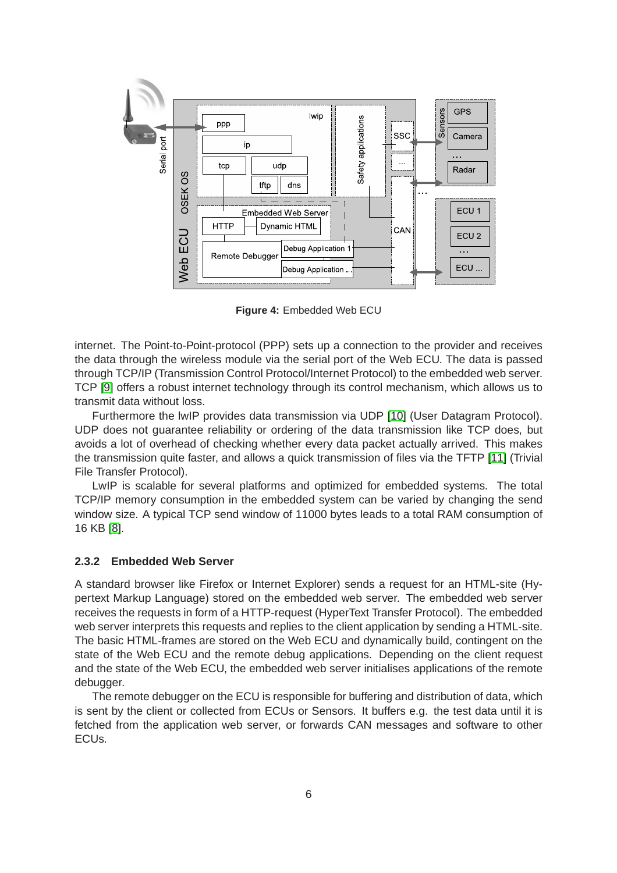<span id="page-5-0"></span>

**Figure 4:** Embedded Web ECU

internet. The Point-to-Point-protocol (PPP) sets up a connection to the provider and receives the data through the wireless module via the serial port of the Web ECU. The data is passed through TCP/IP (Transmission Control Protocol/Internet Protocol) to the embedded web server. TCP [\[9\]](#page-9-7) offers a robust internet technology through its control mechanism, which allows us to transmit data without loss.

Furthermore the lwIP provides data transmission via UDP [\[10\]](#page-9-8) (User Datagram Protocol). UDP does not guarantee reliability or ordering of the data transmission like TCP does, but avoids a lot of overhead of checking whether every data packet actually arrived. This makes the transmission quite faster, and allows a quick transmission of files via the TFTP [\[11\]](#page-9-9) (Trivial File Transfer Protocol).

LwIP is scalable for several platforms and optimized for embedded systems. The total TCP/IP memory consumption in the embedded system can be varied by changing the send window size. A typical TCP send window of 11000 bytes leads to a total RAM consumption of 16 KB [\[8\]](#page-9-10).

#### **2.3.2 Embedded Web Server**

A standard browser like Firefox or Internet Explorer) sends a request for an HTML-site (Hypertext Markup Language) stored on the embedded web server. The embedded web server receives the requests in form of a HTTP-request (HyperText Transfer Protocol). The embedded web server interprets this requests and replies to the client application by sending a HTML-site. The basic HTML-frames are stored on the Web ECU and dynamically build, contingent on the state of the Web ECU and the remote debug applications. Depending on the client request and the state of the Web ECU, the embedded web server initialises applications of the remote debugger.

The remote debugger on the ECU is responsible for buffering and distribution of data, which is sent by the client or collected from ECUs or Sensors. It buffers e.g. the test data until it is fetched from the application web server, or forwards CAN messages and software to other ECUs.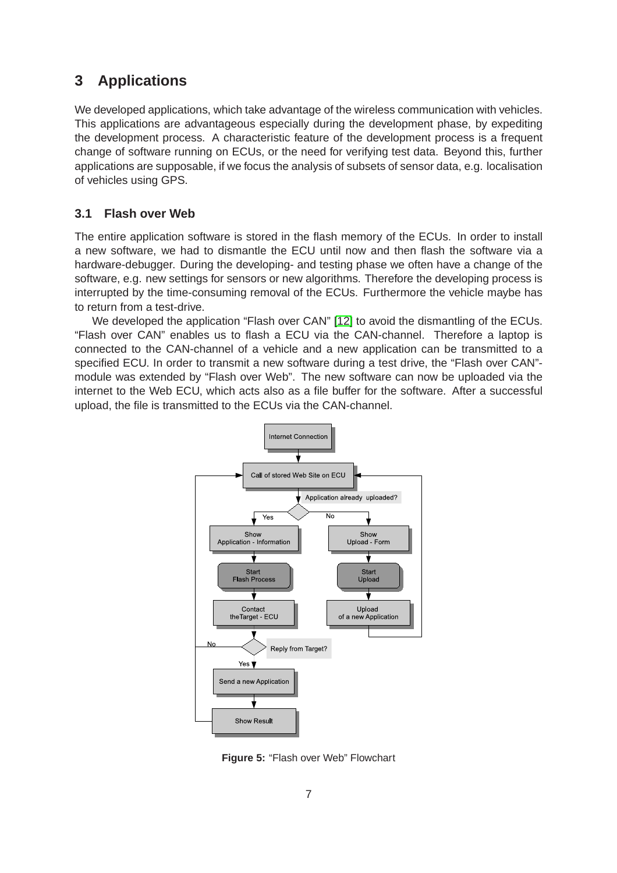## **3 Applications**

We developed applications, which take advantage of the wireless communication with vehicles. This applications are advantageous especially during the development phase, by expediting the development process. A characteristic feature of the development process is a frequent change of software running on ECUs, or the need for verifying test data. Beyond this, further applications are supposable, if we focus the analysis of subsets of sensor data, e.g. localisation of vehicles using GPS.

## **3.1 Flash over Web**

The entire application software is stored in the flash memory of the ECUs. In order to install a new software, we had to dismantle the ECU until now and then flash the software via a hardware-debugger. During the developing- and testing phase we often have a change of the software, e.g. new settings for sensors or new algorithms. Therefore the developing process is interrupted by the time-consuming removal of the ECUs. Furthermore the vehicle maybe has to return from a test-drive.

<span id="page-6-0"></span>We developed the application "Flash over CAN" [\[12\]](#page-9-11) to avoid the dismantling of the ECUs. "Flash over CAN" enables us to flash a ECU via the CAN-channel. Therefore a laptop is connected to the CAN-channel of a vehicle and a new application can be transmitted to a specified ECU. In order to transmit a new software during a test drive, the "Flash over CAN" module was extended by "Flash over Web". The new software can now be uploaded via the internet to the Web ECU, which acts also as a file buffer for the software. After a successful upload, the file is transmitted to the ECUs via the CAN-channel.



**Figure 5:** "Flash over Web" Flowchart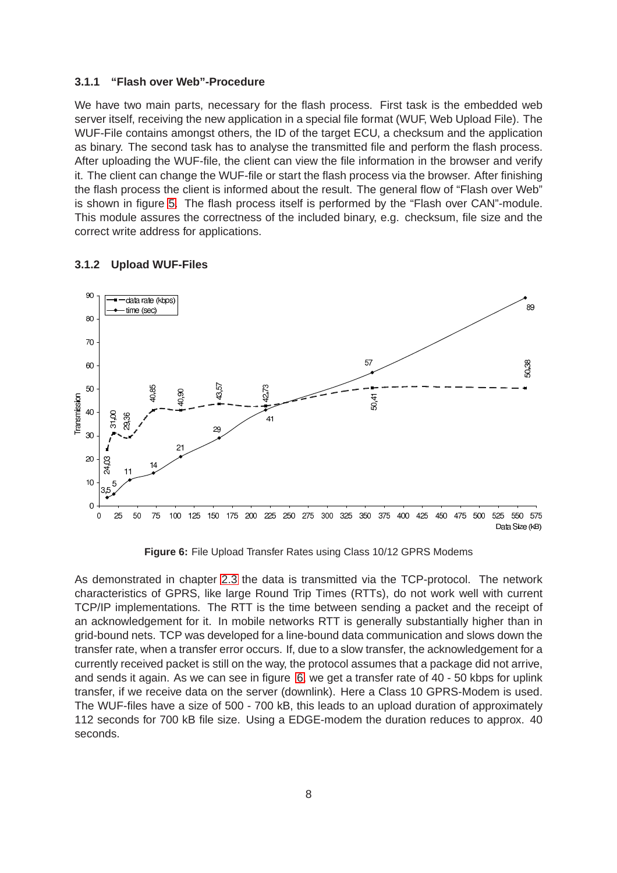#### **3.1.1 "Flash over Web"-Procedure**

We have two main parts, necessary for the flash process. First task is the embedded web server itself, receiving the new application in a special file format (WUF, Web Upload File). The WUF-File contains amongst others, the ID of the target ECU, a checksum and the application as binary. The second task has to analyse the transmitted file and perform the flash process. After uploading the WUF-file, the client can view the file information in the browser and verify it. The client can change the WUF-file or start the flash process via the browser. After finishing the flash process the client is informed about the result. The general flow of "Flash over Web" is shown in figure [5.](#page-6-0) The flash process itself is performed by the "Flash over CAN"-module. This module assures the correctness of the included binary, e.g. checksum, file size and the correct write address for applications.

#### <span id="page-7-0"></span>**3.1.2 Upload WUF-Files**



**Figure 6:** File Upload Transfer Rates using Class 10/12 GPRS Modems

As demonstrated in chapter [2.3](#page-4-0) the data is transmitted via the TCP-protocol. The network characteristics of GPRS, like large Round Trip Times (RTTs), do not work well with current TCP/IP implementations. The RTT is the time between sending a packet and the receipt of an acknowledgement for it. In mobile networks RTT is generally substantially higher than in grid-bound nets. TCP was developed for a line-bound data communication and slows down the transfer rate, when a transfer error occurs. If, due to a slow transfer, the acknowledgement for a currently received packet is still on the way, the protocol assumes that a package did not arrive, and sends it again. As we can see in figure [6,](#page-7-0) we get a transfer rate of 40 - 50 kbps for uplink transfer, if we receive data on the server (downlink). Here a Class 10 GPRS-Modem is used. The WUF-files have a size of 500 - 700 kB, this leads to an upload duration of approximately 112 seconds for 700 kB file size. Using a EDGE-modem the duration reduces to approx. 40 seconds.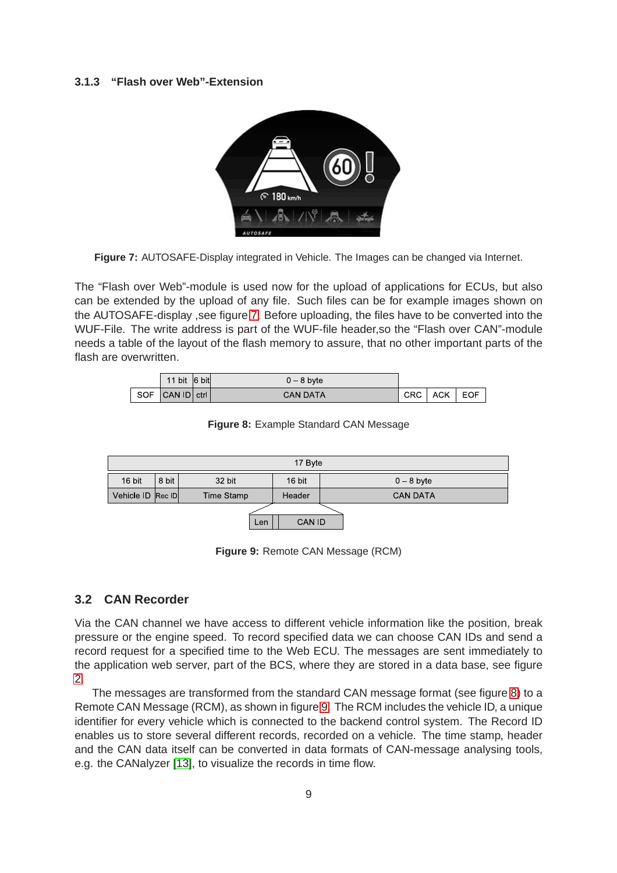#### <span id="page-8-0"></span>**3.1.3 "Flash over Web"-Extension**



**Figure 7:** AUTOSAFE-Display integrated in Vehicle. The Images can be changed via Internet.

The "Flash over Web"-module is used now for the upload of applications for ECUs, but also can be extended by the upload of any file. Such files can be for example images shown on the AUTOSAFE-display ,see figure [7.](#page-8-0) Before uploading, the files have to be converted into the WUF-File. The write address is part of the WUF-file header,so the "Flash over CAN"-module needs a table of the layout of the flash memory to assure, that no other important parts of the flash are overwritten.

<span id="page-8-1"></span>

|  | 11 bit $ 6$ bit | $0 - 8$ byte    |     |       |       |
|--|-----------------|-----------------|-----|-------|-------|
|  | SOF CAN ID ctrl | <b>CAN DATA</b> | CRC | ACK I | . EOF |

**Figure 8:** Example Standard CAN Message

<span id="page-8-2"></span>

**Figure 9:** Remote CAN Message (RCM)

#### **3.2 CAN Recorder**

Via the CAN channel we have access to different vehicle information like the position, break pressure or the engine speed. To record specified data we can choose CAN IDs and send a record request for a specified time to the Web ECU. The messages are sent immediately to the application web server, part of the BCS, where they are stored in a data base, see figure [2.](#page-2-0)

The messages are transformed from the standard CAN message format (see figure [8\)](#page-8-1) to a Remote CAN Message (RCM), as shown in figure [9.](#page-8-2) The RCM includes the vehicle ID, a unique identifier for every vehicle which is connected to the backend control system. The Record ID enables us to store several different records, recorded on a vehicle. The time stamp, header and the CAN data itself can be converted in data formats of CAN-message analysing tools, e.g. the CANalyzer [\[13\]](#page-9-12), to visualize the records in time flow.